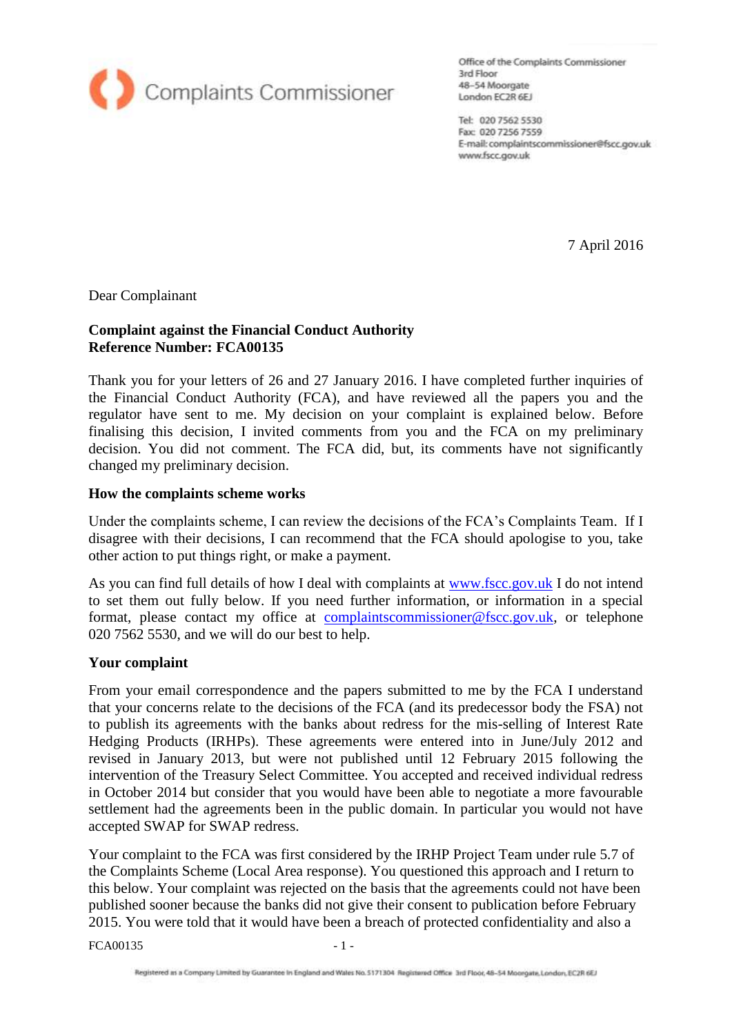

Office of the Complaints Commissioner 3rd Floor 48-54 Moorgate London EC2R 6EJ

Tel: 020 7562 5530 Fax: 020 7256 7559 E-mail: complaintscommissioner@fscc.gov.uk www.fscc.gov.uk

7 April 2016

Dear Complainant

### **Complaint against the Financial Conduct Authority Reference Number: FCA00135**

Thank you for your letters of 26 and 27 January 2016. I have completed further inquiries of the Financial Conduct Authority (FCA), and have reviewed all the papers you and the regulator have sent to me. My decision on your complaint is explained below. Before finalising this decision, I invited comments from you and the FCA on my preliminary decision. You did not comment. The FCA did, but, its comments have not significantly changed my preliminary decision.

### **How the complaints scheme works**

Under the complaints scheme, I can review the decisions of the FCA's Complaints Team. If I disagree with their decisions, I can recommend that the FCA should apologise to you, take other action to put things right, or make a payment.

As you can find full details of how I deal with complaints at [www.fscc.gov.uk](http://www.fscc.gov.uk/) I do not intend to set them out fully below. If you need further information, or information in a special format, please contact my office at [complaintscommissioner@fscc.gov.uk,](mailto:complaintscommissioner@fscc.gov.uk) or telephone 020 7562 5530, and we will do our best to help.

### **Your complaint**

From your email correspondence and the papers submitted to me by the FCA I understand that your concerns relate to the decisions of the FCA (and its predecessor body the FSA) not to publish its agreements with the banks about redress for the mis-selling of Interest Rate Hedging Products (IRHPs). These agreements were entered into in June/July 2012 and revised in January 2013, but were not published until 12 February 2015 following the intervention of the Treasury Select Committee. You accepted and received individual redress in October 2014 but consider that you would have been able to negotiate a more favourable settlement had the agreements been in the public domain. In particular you would not have accepted SWAP for SWAP redress.

Your complaint to the FCA was first considered by the IRHP Project Team under rule 5.7 of the Complaints Scheme (Local Area response). You questioned this approach and I return to this below. Your complaint was rejected on the basis that the agreements could not have been published sooner because the banks did not give their consent to publication before February 2015. You were told that it would have been a breach of protected confidentiality and also a

 $FCA00135$   $-1$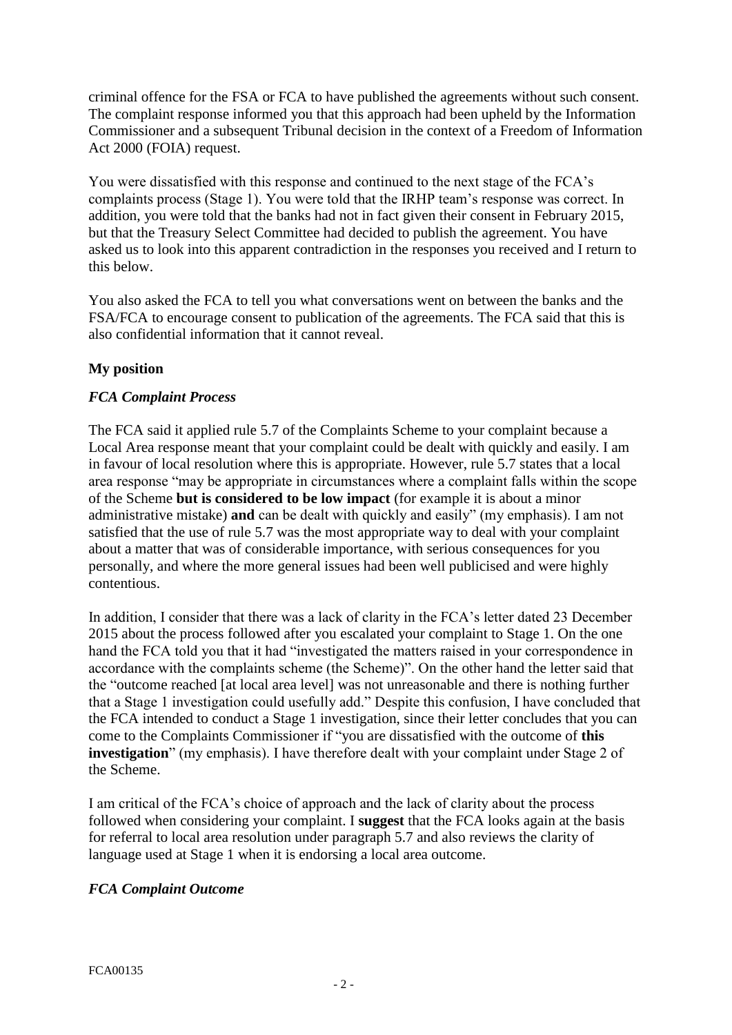criminal offence for the FSA or FCA to have published the agreements without such consent. The complaint response informed you that this approach had been upheld by the Information Commissioner and a subsequent Tribunal decision in the context of a Freedom of Information Act 2000 (FOIA) request.

You were dissatisfied with this response and continued to the next stage of the FCA's complaints process (Stage 1). You were told that the IRHP team's response was correct. In addition, you were told that the banks had not in fact given their consent in February 2015, but that the Treasury Select Committee had decided to publish the agreement. You have asked us to look into this apparent contradiction in the responses you received and I return to this below.

You also asked the FCA to tell you what conversations went on between the banks and the FSA/FCA to encourage consent to publication of the agreements. The FCA said that this is also confidential information that it cannot reveal.

# **My position**

## *FCA Complaint Process*

The FCA said it applied rule 5.7 of the Complaints Scheme to your complaint because a Local Area response meant that your complaint could be dealt with quickly and easily. I am in favour of local resolution where this is appropriate. However, rule 5.7 states that a local area response "may be appropriate in circumstances where a complaint falls within the scope of the Scheme **but is considered to be low impact** (for example it is about a minor administrative mistake) **and** can be dealt with quickly and easily" (my emphasis). I am not satisfied that the use of rule 5.7 was the most appropriate way to deal with your complaint about a matter that was of considerable importance, with serious consequences for you personally, and where the more general issues had been well publicised and were highly contentious.

In addition, I consider that there was a lack of clarity in the FCA's letter dated 23 December 2015 about the process followed after you escalated your complaint to Stage 1. On the one hand the FCA told you that it had "investigated the matters raised in your correspondence in accordance with the complaints scheme (the Scheme)". On the other hand the letter said that the "outcome reached [at local area level] was not unreasonable and there is nothing further that a Stage 1 investigation could usefully add." Despite this confusion, I have concluded that the FCA intended to conduct a Stage 1 investigation, since their letter concludes that you can come to the Complaints Commissioner if "you are dissatisfied with the outcome of **this investigation**" (my emphasis). I have therefore dealt with your complaint under Stage 2 of the Scheme.

I am critical of the FCA's choice of approach and the lack of clarity about the process followed when considering your complaint. I **suggest** that the FCA looks again at the basis for referral to local area resolution under paragraph 5.7 and also reviews the clarity of language used at Stage 1 when it is endorsing a local area outcome.

## *FCA Complaint Outcome*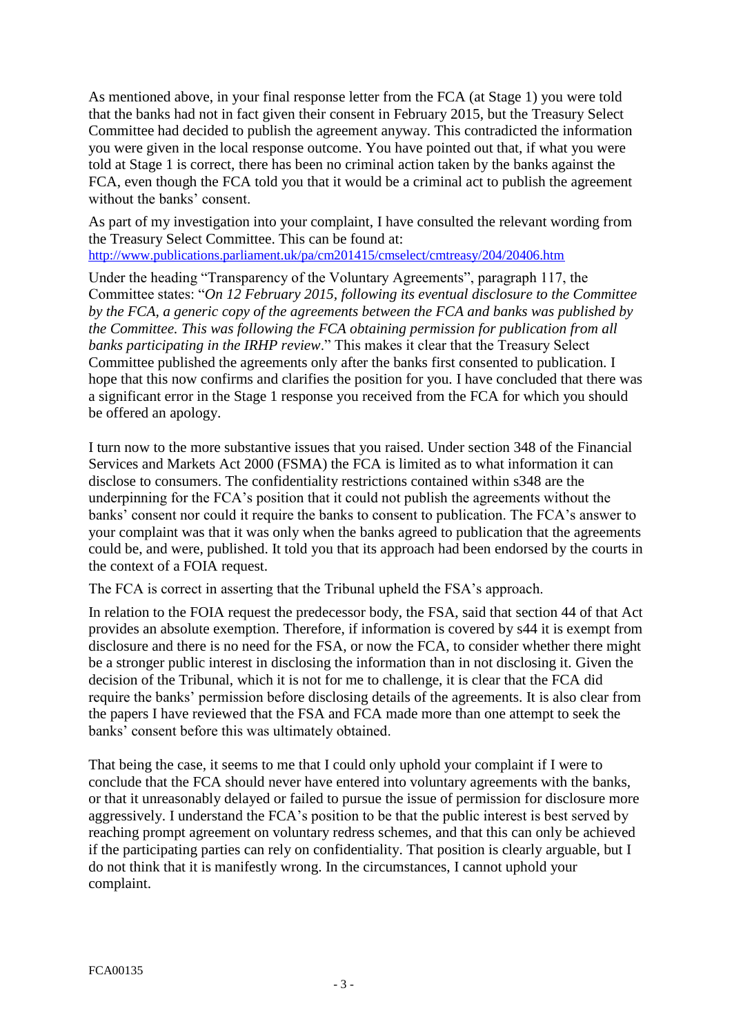As mentioned above, in your final response letter from the FCA (at Stage 1) you were told that the banks had not in fact given their consent in February 2015, but the Treasury Select Committee had decided to publish the agreement anyway. This contradicted the information you were given in the local response outcome. You have pointed out that, if what you were told at Stage 1 is correct, there has been no criminal action taken by the banks against the FCA, even though the FCA told you that it would be a criminal act to publish the agreement without the banks' consent.

As part of my investigation into your complaint, I have consulted the relevant wording from the Treasury Select Committee. This can be found at:

<http://www.publications.parliament.uk/pa/cm201415/cmselect/cmtreasy/204/20406.htm>

Under the heading "Transparency of the Voluntary Agreements", paragraph 117, the Committee states: "*On 12 February 2015, following its eventual disclosure to the Committee by the FCA, a generic copy of the agreements between the FCA and banks was published by the Committee. This was following the FCA obtaining permission for publication from all banks participating in the IRHP review*." This makes it clear that the Treasury Select Committee published the agreements only after the banks first consented to publication. I hope that this now confirms and clarifies the position for you. I have concluded that there was a significant error in the Stage 1 response you received from the FCA for which you should be offered an apology.

I turn now to the more substantive issues that you raised. Under section 348 of the Financial Services and Markets Act 2000 (FSMA) the FCA is limited as to what information it can disclose to consumers. The confidentiality restrictions contained within s348 are the underpinning for the FCA's position that it could not publish the agreements without the banks' consent nor could it require the banks to consent to publication. The FCA's answer to your complaint was that it was only when the banks agreed to publication that the agreements could be, and were, published. It told you that its approach had been endorsed by the courts in the context of a FOIA request.

The FCA is correct in asserting that the Tribunal upheld the FSA's approach.

In relation to the FOIA request the predecessor body, the FSA, said that section 44 of that Act provides an absolute exemption. Therefore, if information is covered by s44 it is exempt from disclosure and there is no need for the FSA, or now the FCA, to consider whether there might be a stronger public interest in disclosing the information than in not disclosing it. Given the decision of the Tribunal, which it is not for me to challenge, it is clear that the FCA did require the banks' permission before disclosing details of the agreements. It is also clear from the papers I have reviewed that the FSA and FCA made more than one attempt to seek the banks' consent before this was ultimately obtained.

That being the case, it seems to me that I could only uphold your complaint if I were to conclude that the FCA should never have entered into voluntary agreements with the banks, or that it unreasonably delayed or failed to pursue the issue of permission for disclosure more aggressively. I understand the FCA's position to be that the public interest is best served by reaching prompt agreement on voluntary redress schemes, and that this can only be achieved if the participating parties can rely on confidentiality. That position is clearly arguable, but I do not think that it is manifestly wrong. In the circumstances, I cannot uphold your complaint.